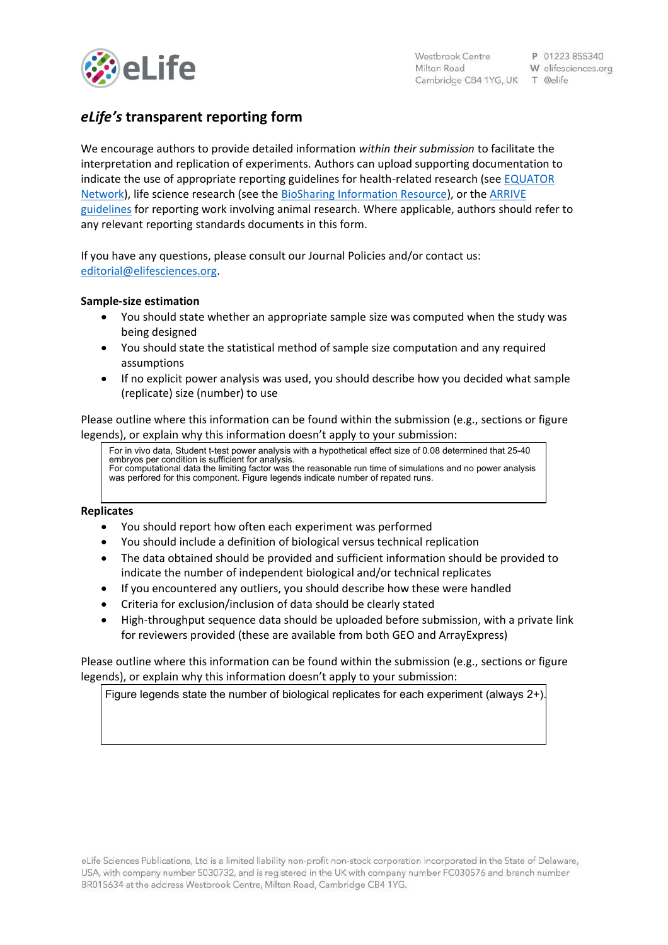

# *eLife's* **transparent reporting form**

We encourage authors to provide detailed information *within their submission* to facilitate the interpretation and replication of experiments. Authors can upload supporting documentation to indicate the use of appropriate reporting guidelines for health-related research (see [EQUATOR](http://www.equator-network.org/)  [Network\)](http://www.equator-network.org/), life science research (see the [BioSharing Information Resource\)](https://biosharing.org/), or the [ARRIVE](http://www.plosbiology.org/article/info:doi/10.1371/journal.pbio.1000412)  [guidelines](http://www.plosbiology.org/article/info:doi/10.1371/journal.pbio.1000412) for reporting work involving animal research. Where applicable, authors should refer to any relevant reporting standards documents in this form.

If you have any questions, please consult our Journal Policies and/or contact us: [editorial@elifesciences.org.](mailto:editorial@elifesciences.org)

## **Sample-size estimation**

- You should state whether an appropriate sample size was computed when the study was being designed
- You should state the statistical method of sample size computation and any required assumptions
- If no explicit power analysis was used, you should describe how you decided what sample (replicate) size (number) to use

Please outline where this information can be found within the submission (e.g., sections or figure legends), or explain why this information doesn't apply to your submission:

For in vivo data, Student t-test power analysis with a hypothetical effect size of 0.08 determined that 25-40 embryos per condition is sufficient for analysis. For computational data the limiting factor was the reasonable run time of simulations and no power analysis was perfored for this component. Figure legends indicate number of repated runs.

#### **Replicates**

- You should report how often each experiment was performed
- You should include a definition of biological versus technical replication
- The data obtained should be provided and sufficient information should be provided to indicate the number of independent biological and/or technical replicates
- If you encountered any outliers, you should describe how these were handled
- Criteria for exclusion/inclusion of data should be clearly stated
- High-throughput sequence data should be uploaded before submission, with a private link for reviewers provided (these are available from both GEO and ArrayExpress)

Please outline where this information can be found within the submission (e.g., sections or figure legends), or explain why this information doesn't apply to your submission:

Figure legends state the number of biological replicates for each experiment (always 2+).